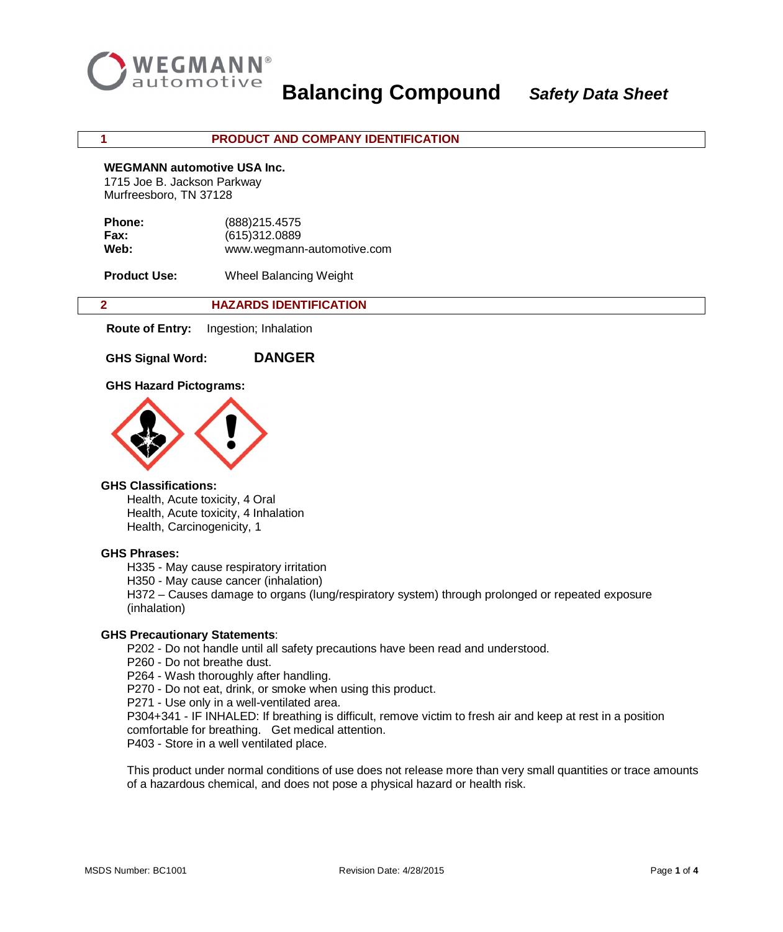

### **1 PRODUCT AND COMPANY IDENTIFICATION**

#### **WEGMANN automotive USA Inc.**

1715 Joe B. Jackson Parkway Murfreesboro, TN 37128

| (888) 215.4575             |
|----------------------------|
| (615)312.0889              |
| www.wegmann-automotive.com |
|                            |

**Product Use:** Wheel Balancing Weight

| <b>HAZARDS IDENTIFICATION</b> |
|-------------------------------|
|                               |

 **Route of Entry:** Ingestion; Inhalation

**GHS Signal Word: DANGER**

# **GHS Hazard Pictograms:**



# **GHS Classifications:**

Health, Acute toxicity, 4 Oral Health, Acute toxicity, 4 Inhalation Health, Carcinogenicity, 1

### **GHS Phrases:**

H335 - May cause respiratory irritation

H350 - May cause cancer (inhalation)

H372 – Causes damage to organs (lung/respiratory system) through prolonged or repeated exposure (inhalation)

### **GHS Precautionary Statements**:

P202 - Do not handle until all safety precautions have been read and understood.

P260 - Do not breathe dust.

P264 - Wash thoroughly after handling.

P270 - Do not eat, drink, or smoke when using this product.

P271 - Use only in a well-ventilated area.

P304+341 - IF INHALED: If breathing is difficult, remove victim to fresh air and keep at rest in a position comfortable for breathing. Get medical attention.

P403 - Store in a well ventilated place.

This product under normal conditions of use does not release more than very small quantities or trace amounts of a hazardous chemical, and does not pose a physical hazard or health risk.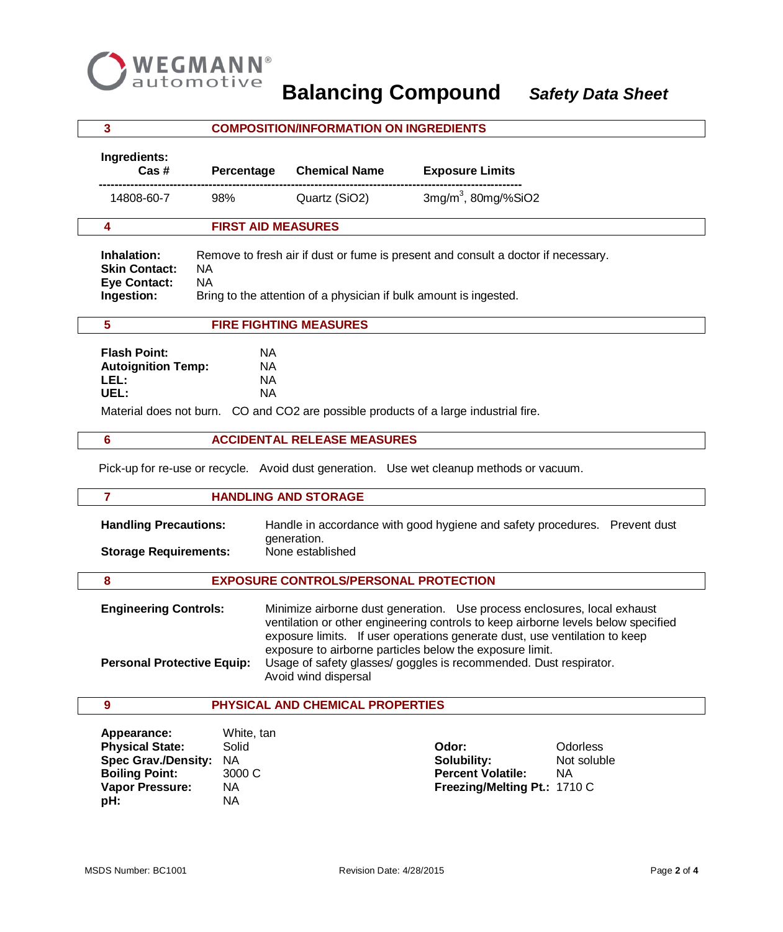

|                                                                                                                                                                                                       | 3                                                                                                                                                                                                                                                            |                                                                | <b>COMPOSITION/INFORMATION ON INGREDIENTS</b>                                                                                                                                                                                                                                                                                                                                |                                                                                                                          |  |
|-------------------------------------------------------------------------------------------------------------------------------------------------------------------------------------------------------|--------------------------------------------------------------------------------------------------------------------------------------------------------------------------------------------------------------------------------------------------------------|----------------------------------------------------------------|------------------------------------------------------------------------------------------------------------------------------------------------------------------------------------------------------------------------------------------------------------------------------------------------------------------------------------------------------------------------------|--------------------------------------------------------------------------------------------------------------------------|--|
|                                                                                                                                                                                                       | Ingredients:<br>Cas #<br>Percentage                                                                                                                                                                                                                          |                                                                | <b>Chemical Name</b>                                                                                                                                                                                                                                                                                                                                                         | <b>Exposure Limits</b>                                                                                                   |  |
|                                                                                                                                                                                                       | 14808-60-7                                                                                                                                                                                                                                                   | 98%                                                            | Quartz (SiO2)                                                                                                                                                                                                                                                                                                                                                                | $3mg/m3$ , 80mg/%SiO2                                                                                                    |  |
|                                                                                                                                                                                                       | 4                                                                                                                                                                                                                                                            | <b>FIRST AID MEASURES</b>                                      |                                                                                                                                                                                                                                                                                                                                                                              |                                                                                                                          |  |
|                                                                                                                                                                                                       | Remove to fresh air if dust or fume is present and consult a doctor if necessary.<br>Inhalation:<br><b>Skin Contact:</b><br><b>NA</b><br><b>Eye Contact:</b><br><b>NA</b><br>Ingestion:<br>Bring to the attention of a physician if bulk amount is ingested. |                                                                |                                                                                                                                                                                                                                                                                                                                                                              |                                                                                                                          |  |
|                                                                                                                                                                                                       | 5                                                                                                                                                                                                                                                            |                                                                | <b>FIRE FIGHTING MEASURES</b>                                                                                                                                                                                                                                                                                                                                                |                                                                                                                          |  |
| <b>Flash Point:</b><br><b>NA</b><br><b>Autoignition Temp:</b><br>NA<br>LEL:<br><b>NA</b><br>UEL:<br><b>NA</b><br>Material does not burn. CO and CO2 are possible products of a large industrial fire. |                                                                                                                                                                                                                                                              |                                                                |                                                                                                                                                                                                                                                                                                                                                                              |                                                                                                                          |  |
|                                                                                                                                                                                                       | 6                                                                                                                                                                                                                                                            |                                                                | <b>ACCIDENTAL RELEASE MEASURES</b>                                                                                                                                                                                                                                                                                                                                           |                                                                                                                          |  |
|                                                                                                                                                                                                       |                                                                                                                                                                                                                                                              |                                                                |                                                                                                                                                                                                                                                                                                                                                                              | Pick-up for re-use or recycle. Avoid dust generation. Use wet cleanup methods or vacuum.                                 |  |
|                                                                                                                                                                                                       | $\overline{7}$                                                                                                                                                                                                                                               |                                                                | <b>HANDLING AND STORAGE</b>                                                                                                                                                                                                                                                                                                                                                  |                                                                                                                          |  |
| <b>Handling Precautions:</b><br>generation.<br><b>Storage Requirements:</b><br>None established                                                                                                       |                                                                                                                                                                                                                                                              |                                                                |                                                                                                                                                                                                                                                                                                                                                                              | Handle in accordance with good hygiene and safety procedures. Prevent dust                                               |  |
|                                                                                                                                                                                                       | 8                                                                                                                                                                                                                                                            |                                                                | <b>EXPOSURE CONTROLS/PERSONAL PROTECTION</b>                                                                                                                                                                                                                                                                                                                                 |                                                                                                                          |  |
| <b>Engineering Controls:</b><br><b>Personal Protective Equip:</b><br>Avoid wind dispersal                                                                                                             |                                                                                                                                                                                                                                                              |                                                                | Minimize airborne dust generation. Use process enclosures, local exhaust<br>ventilation or other engineering controls to keep airborne levels below specified<br>exposure limits. If user operations generate dust, use ventilation to keep<br>exposure to airborne particles below the exposure limit.<br>Usage of safety glasses/ goggles is recommended. Dust respirator. |                                                                                                                          |  |
|                                                                                                                                                                                                       | $\boldsymbol{9}$                                                                                                                                                                                                                                             |                                                                | PHYSICAL AND CHEMICAL PROPERTIES                                                                                                                                                                                                                                                                                                                                             |                                                                                                                          |  |
|                                                                                                                                                                                                       | Appearance:<br><b>Physical State:</b><br><b>Spec Grav./Density:</b><br><b>Boiling Point:</b><br><b>Vapor Pressure:</b><br>pH:                                                                                                                                | White, tan<br>Solid<br><b>NA</b><br>3000 C<br>NA.<br><b>NA</b> |                                                                                                                                                                                                                                                                                                                                                                              | Odor:<br><b>Odorless</b><br>Solubility:<br>Not soluble<br><b>Percent Volatile:</b><br>NA<br>Freezing/Melting Pt.: 1710 C |  |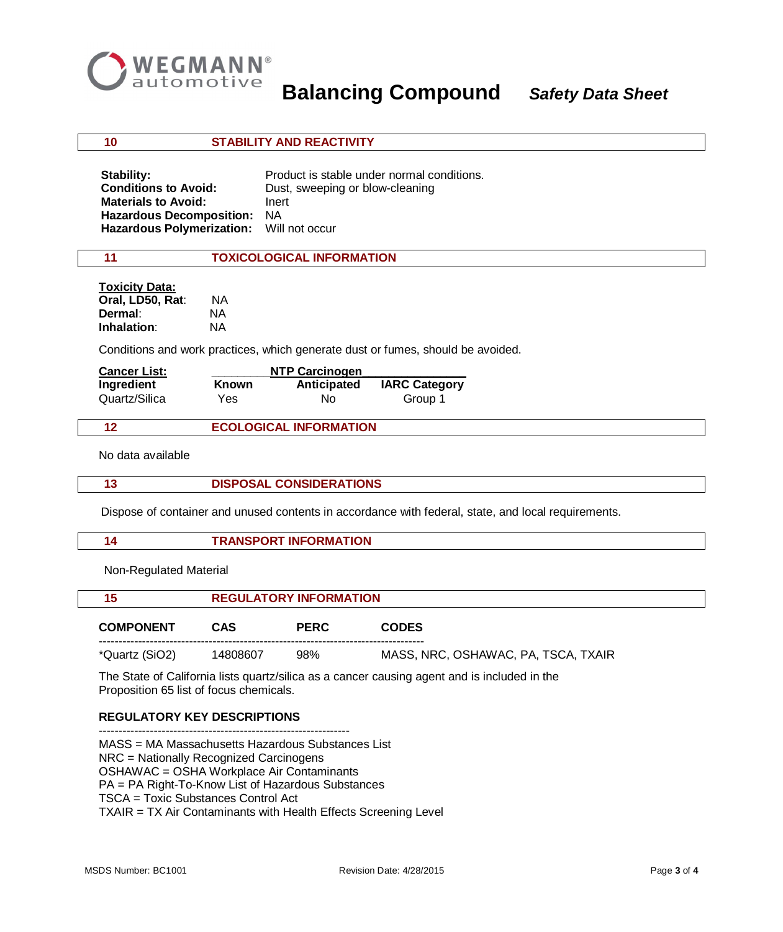

**Balancing Compound** *Safety Data Sheet*

 **10 STABILITY AND REACTIVITY**

| Stability:                               | Product is stable under normal conditions. |
|------------------------------------------|--------------------------------------------|
| <b>Conditions to Avoid:</b>              | Dust, sweeping or blow-cleaning            |
| <b>Materials to Avoid:</b>               | Inert                                      |
| <b>Hazardous Decomposition:</b>          | - NA                                       |
| Hazardous Polymerization: Will not occur |                                            |

### **11 TOXICOLOGICAL INFORMATION**

| <b>Toxicity Data:</b> |     |
|-----------------------|-----|
| Oral, LD50, Rat:      | ΝA  |
| Dermal:               | NA. |
| Inhalation:           | NA. |

Conditions and work practices, which generate dust or fumes, should be avoided.

| <b>Cancer List:</b>         | NTP Carcinogen |                               |                                 |
|-----------------------------|----------------|-------------------------------|---------------------------------|
| Ingredient<br>Quartz/Silica | Known<br>Yes   | Anticipated<br>No.            | <b>IARC Category</b><br>Group 1 |
| 12                          |                | <b>ECOLOGICAL INFORMATION</b> |                                 |

No data available

|  | <b>DISPOSAL CONSIDERATIONS</b> |
|--|--------------------------------|
|--|--------------------------------|

Dispose of container and unused contents in accordance with federal, state, and local requirements.

| <b>FRANSPORT INFORMATION</b> |
|------------------------------|
|                              |

Non-Regulated Material

| 15               | <b>REGULATORY INFORMATION</b> |             |                                     |
|------------------|-------------------------------|-------------|-------------------------------------|
| <b>COMPONENT</b> | CAS                           | <b>PERC</b> | <b>CODES</b>                        |
| *Quartz (SiO2)   | 14808607                      | 98%         | MASS, NRC, OSHAWAC, PA, TSCA, TXAIR |

 The State of California lists quartz/silica as a cancer causing agent and is included in the Proposition 65 list of focus chemicals.

### **REGULATORY KEY DESCRIPTIONS**

----------------------------------------------------------------

MASS = MA Massachusetts Hazardous Substances List

NRC = Nationally Recognized Carcinogens

OSHAWAC = OSHA Workplace Air Contaminants

PA = PA Right-To-Know List of Hazardous Substances

TSCA = Toxic Substances Control Act

TXAIR = TX Air Contaminants with Health Effects Screening Level